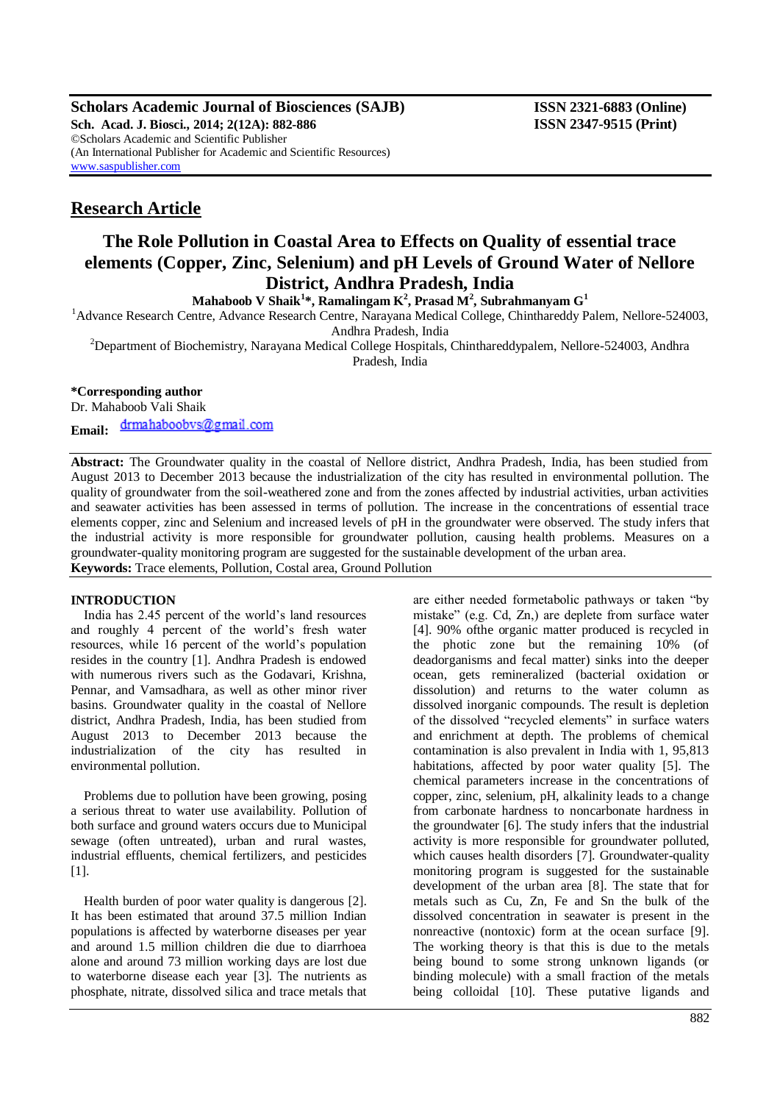**Scholars Academic Journal of Biosciences (SAJB) ISSN 2321-6883 (Online) Sch. Acad. J. Biosci., 2014; 2(12A): 882-886 ISSN 2347-9515 (Print)** ©Scholars Academic and Scientific Publisher (An International Publisher for Academic and Scientific Resources) [www.saspublisher.com](http://www.saspublisher.com/)

## **Research Article**

# **The Role Pollution in Coastal Area to Effects on Quality of essential trace elements (Copper, Zinc, Selenium) and pH Levels of Ground Water of Nellore District, Andhra Pradesh, India**

**Mahaboob V Shaik<sup>1</sup> \*, Ramalingam K<sup>2</sup> , Prasad M<sup>2</sup> , Subrahmanyam G<sup>1</sup>**

<sup>1</sup>Advance Research Centre, Advance Research Centre, Narayana Medical College, Chinthareddy Palem, Nellore-524003, Andhra Pradesh, India

<sup>2</sup>Department of Biochemistry, Narayana Medical College Hospitals, Chinthareddypalem, Nellore-524003, Andhra Pradesh, India

## **\*Corresponding author**

Dr. Mahaboob Vali Shaik drmahaboobvs@gmail.com **Email:**

**Abstract:** The Groundwater quality in the coastal of Nellore district, Andhra Pradesh, India, has been studied from August 2013 to December 2013 because the industrialization of the city has resulted in environmental pollution. The quality of groundwater from the soil-weathered zone and from the zones affected by industrial activities, urban activities and seawater activities has been assessed in terms of pollution. The increase in the concentrations of essential trace elements copper, zinc and Selenium and increased levels of pH in the groundwater were observed. The study infers that the industrial activity is more responsible for groundwater pollution, causing health problems. Measures on a groundwater-quality monitoring program are suggested for the sustainable development of the urban area. **Keywords:** Trace elements, Pollution, Costal area, Ground Pollution

## **INTRODUCTION**

India has 2.45 percent of the world's land resources and roughly 4 percent of the world's fresh water resources, while 16 percent of the world's population resides in the country [1]. Andhra Pradesh is endowed with numerous rivers such as the Godavari, Krishna, Pennar, and Vamsadhara, as well as other minor river basins. Groundwater quality in the coastal of Nellore district, Andhra Pradesh, India, has been studied from August 2013 to December 2013 because the industrialization of the city has resulted in environmental pollution.

Problems due to pollution have been growing, posing a serious threat to water use availability. Pollution of both surface and ground waters occurs due to Municipal sewage (often untreated), urban and rural wastes, industrial effluents, chemical fertilizers, and pesticides [1].

Health burden of poor water quality is dangerous [2]. It has been estimated that around 37.5 million Indian populations is affected by waterborne diseases per year and around 1.5 million children die due to diarrhoea alone and around 73 million working days are lost due to waterborne disease each year [3]. The nutrients as phosphate, nitrate, dissolved silica and trace metals that

are either needed formetabolic pathways or taken "by mistake" (e.g. Cd, Zn,) are deplete from surface water [4]. 90% ofthe organic matter produced is recycled in the photic zone but the remaining 10% (of deadorganisms and fecal matter) sinks into the deeper ocean, gets remineralized (bacterial oxidation or dissolution) and returns to the water column as dissolved inorganic compounds. The result is depletion of the dissolved "recycled elements" in surface waters and enrichment at depth. The problems of chemical contamination is also prevalent in India with 1, 95,813 habitations, affected by poor water quality [5]. The chemical parameters increase in the concentrations of copper, zinc, selenium, pH, alkalinity leads to a change from carbonate hardness to noncarbonate hardness in the groundwater [6]. The study infers that the industrial activity is more responsible for groundwater polluted, which causes health disorders [7]. Groundwater-quality monitoring program is suggested for the sustainable development of the urban area [8]. The state that for metals such as Cu, Zn, Fe and Sn the bulk of the dissolved concentration in seawater is present in the nonreactive (nontoxic) form at the ocean surface [9]. The working theory is that this is due to the metals being bound to some strong unknown ligands (or binding molecule) with a small fraction of the metals being colloidal [10]. These putative ligands and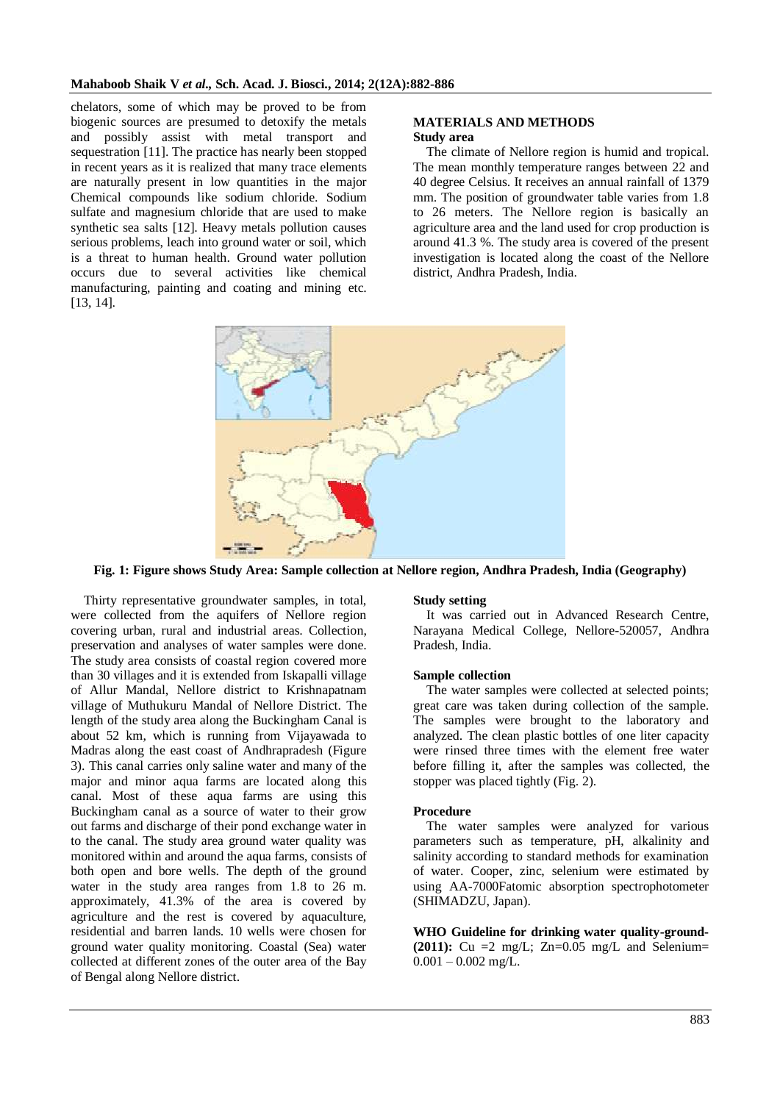chelators, some of which may be proved to be from biogenic sources are presumed to detoxify the metals and possibly assist with metal transport and sequestration [11]. The practice has nearly been stopped in recent years as it is realized that many trace elements are naturally present in low quantities in the major Chemical compounds like sodium chloride. Sodium sulfate and magnesium chloride that are used to make synthetic sea salts [12]. Heavy metals pollution causes serious problems, leach into ground water or soil, which is a threat to human health. Ground water pollution occurs due to several activities like chemical manufacturing, painting and coating and mining etc. [13, 14].

#### **MATERIALS AND METHODS Study area**

The climate of Nellore region is humid and tropical. The mean monthly temperature ranges between 22 and 40 degree Celsius. It receives an annual rainfall of 1379 mm. The position of groundwater table varies from 1.8 to 26 meters. The Nellore region is basically an agriculture area and the land used for crop production is around 41.3 %. The study area is covered of the present investigation is located along the coast of the Nellore district, Andhra Pradesh, India.



**Fig. 1: Figure shows Study Area: Sample collection at Nellore region, Andhra Pradesh, India (Geography)**

Thirty representative groundwater samples, in total, were collected from the aquifers of Nellore region covering urban, rural and industrial areas. Collection, preservation and analyses of water samples were done. The study area consists of coastal region covered more than 30 villages and it is extended from Iskapalli village of Allur Mandal, Nellore district to Krishnapatnam village of Muthukuru Mandal of Nellore District. The length of the study area along the Buckingham Canal is about 52 km, which is running from Vijayawada to Madras along the east coast of Andhrapradesh (Figure 3). This canal carries only saline water and many of the major and minor aqua farms are located along this canal. Most of these aqua farms are using this Buckingham canal as a source of water to their grow out farms and discharge of their pond exchange water in to the canal. The study area ground water quality was monitored within and around the aqua farms, consists of both open and bore wells. The depth of the ground water in the study area ranges from 1.8 to 26 m. approximately, 41.3% of the area is covered by agriculture and the rest is covered by aquaculture, residential and barren lands. 10 wells were chosen for ground water quality monitoring. Coastal (Sea) water collected at different zones of the outer area of the Bay of Bengal along Nellore district.

### **Study setting**

It was carried out in Advanced Research Centre, Narayana Medical College, Nellore-520057, Andhra Pradesh, India.

#### **Sample collection**

The water samples were collected at selected points; great care was taken during collection of the sample. The samples were brought to the laboratory and analyzed. The clean plastic bottles of one liter capacity were rinsed three times with the element free water before filling it, after the samples was collected, the stopper was placed tightly (Fig. 2).

#### **Procedure**

The water samples were analyzed for various parameters such as temperature, pH, alkalinity and salinity according to standard methods for examination of water. Cooper, zinc, selenium were estimated by using AA-7000Fatomic absorption spectrophotometer (SHIMADZU, Japan).

**WHO Guideline for drinking water quality-ground-**  $(2011)$ : Cu =2 mg/L; Zn=0.05 mg/L and Selenium=  $0.001 - 0.002$  mg/L.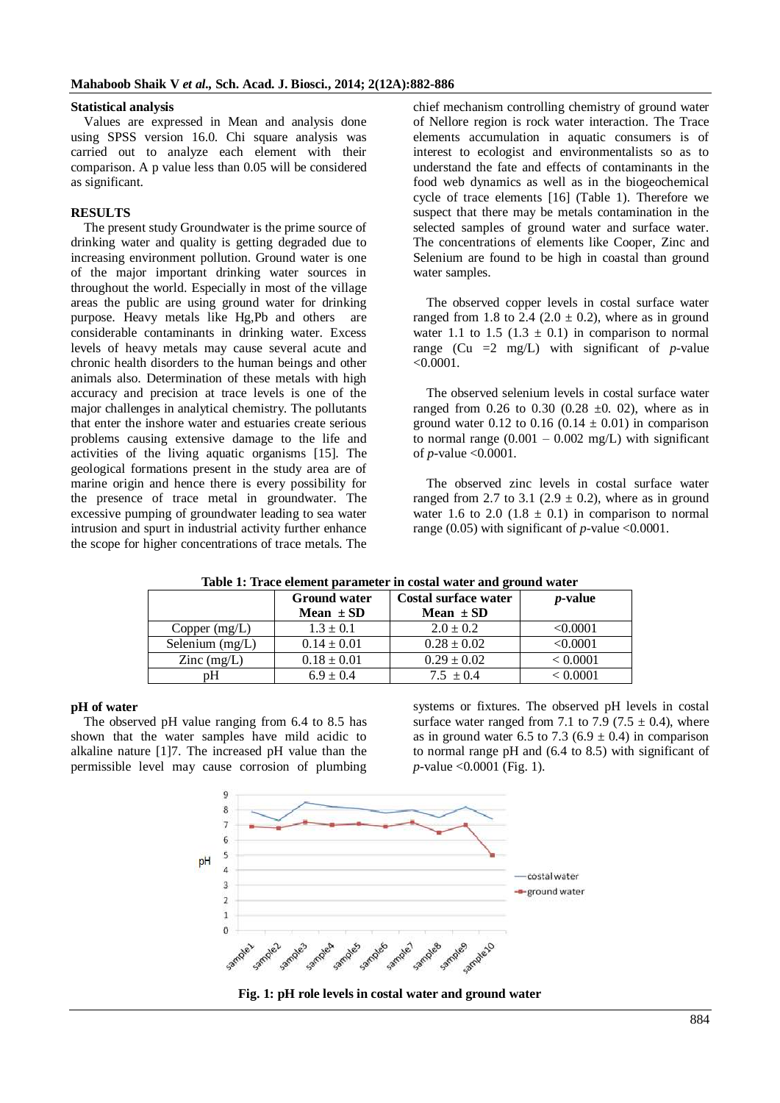#### **Statistical analysis**

Values are expressed in Mean and analysis done using SPSS version 16.0. Chi square analysis was carried out to analyze each element with their comparison. A p value less than 0.05 will be considered as significant.

#### **RESULTS**

The present study Groundwater is the prime source of drinking water and quality is getting degraded due to increasing environment pollution. Ground water is one of the major important drinking water sources in throughout the world. Especially in most of the village areas the public are using ground water for drinking purpose. Heavy metals like Hg,Pb and others are considerable contaminants in drinking water. Excess levels of heavy metals may cause several acute and chronic health disorders to the human beings and other animals also. Determination of these metals with high accuracy and precision at trace levels is one of the major challenges in analytical chemistry. The pollutants that enter the inshore water and estuaries create serious problems causing extensive damage to the life and activities of the living aquatic organisms [15]. The geological formations present in the study area are of marine origin and hence there is every possibility for the presence of trace metal in groundwater. The excessive pumping of groundwater leading to sea water intrusion and spurt in industrial activity further enhance the scope for higher concentrations of trace metals. The

chief mechanism controlling chemistry of ground water of Nellore region is rock water interaction. The Trace elements accumulation in aquatic consumers is of interest to ecologist and environmentalists so as to understand the fate and effects of contaminants in the food web dynamics as well as in the biogeochemical cycle of trace elements [16] (Table 1). Therefore we suspect that there may be metals contamination in the selected samples of ground water and surface water. The concentrations of elements like Cooper, Zinc and Selenium are found to be high in coastal than ground water samples.

The observed copper levels in costal surface water ranged from 1.8 to 2.4 (2.0  $\pm$  0.2), where as in ground water 1.1 to 1.5 (1.3  $\pm$  0.1) in comparison to normal range (Cu  $=2 \text{ mg/L}$ ) with significant of *p*-value <0.0001.

The observed selenium levels in costal surface water ranged from 0.26 to 0.30 (0.28  $\pm$ 0. 02), where as in ground water 0.12 to 0.16 (0.14  $\pm$  0.01) in comparison to normal range  $(0.001 - 0.002 \text{ mg/L})$  with significant of *p*-value <0.0001.

The observed zinc levels in costal surface water ranged from 2.7 to 3.1 (2.9  $\pm$  0.2), where as in ground water 1.6 to 2.0 (1.8  $\pm$  0.1) in comparison to normal range  $(0.05)$  with significant of *p*-value <0.0001.

|                      | <b>Ground water</b><br>Mean $\pm$ SD | <b>Costal surface water</b><br>Mean $\pm$ SD | <i>p</i> -value |
|----------------------|--------------------------------------|----------------------------------------------|-----------------|
| Copper $(mg/L)$      | $1.3 \pm 0.1$                        | $2.0 \pm 0.2$                                | < 0.0001        |
| Selenium $(mg/L)$    | $0.14 \pm 0.01$                      | $0.28 \pm 0.02$                              | < 0.0001        |
| $\text{Zinc}$ (mg/L) | $0.18 \pm 0.01$                      | $0.29 \pm 0.02$                              | < 0.0001        |
| pΗ                   | $6.9 \pm 0.4$                        | $7.5 \pm 0.4$                                | < 0.0001        |

**Table 1: Trace element parameter in costal water and ground water**

#### **pH of water**

The observed pH value ranging from 6.4 to 8.5 has shown that the water samples have mild acidic to alkaline nature [1]7. The increased pH value than the permissible level may cause corrosion of plumbing

systems or fixtures. The observed pH levels in costal surface water ranged from 7.1 to 7.9 (7.5  $\pm$  0.4), where as in ground water 6.5 to 7.3 (6.9  $\pm$  0.4) in comparison to normal range pH and (6.4 to 8.5) with significant of *p*-value <0.0001 (Fig. 1).



**Fig. 1: pH role levels in costal water and ground water**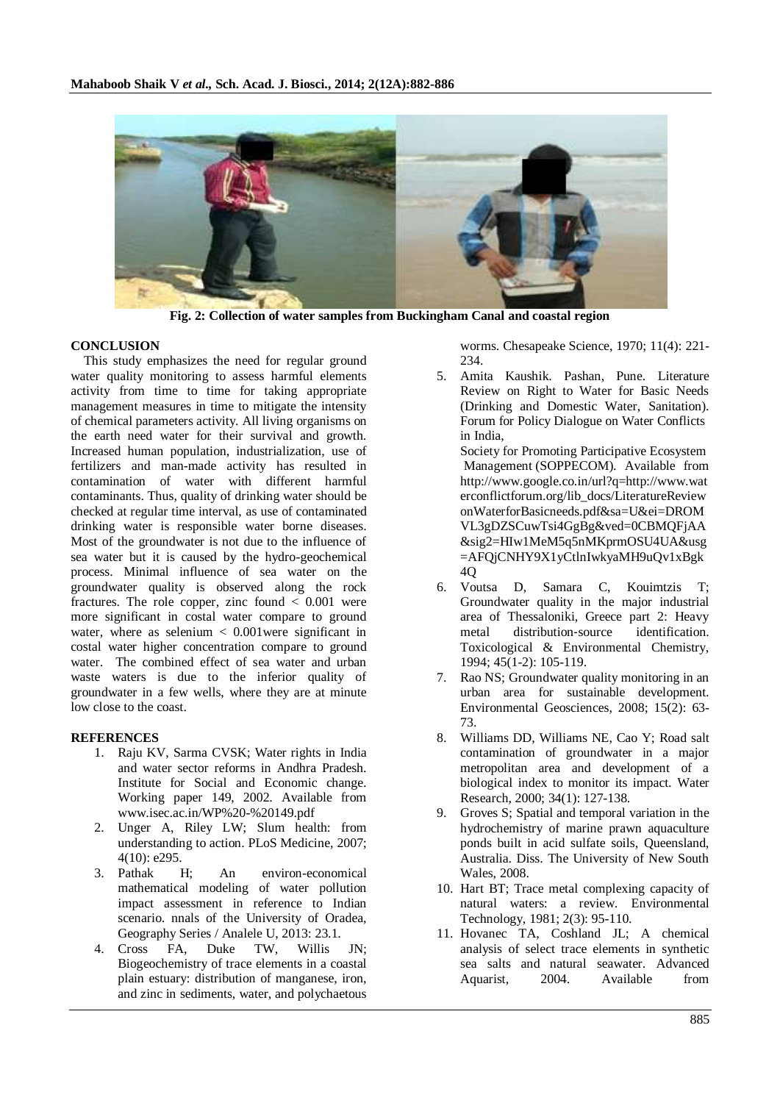

**Fig. 2: Collection of water samples from Buckingham Canal and coastal region**

## **CONCLUSION**

This study emphasizes the need for regular ground water quality monitoring to assess harmful elements activity from time to time for taking appropriate management measures in time to mitigate the intensity of chemical parameters activity. All living organisms on the earth need water for their survival and growth. Increased human population, industrialization, use of fertilizers and man-made activity has resulted in contamination of water with different harmful contaminants. Thus, quality of drinking water should be checked at regular time interval, as use of contaminated drinking water is responsible water borne diseases. Most of the groundwater is not due to the influence of sea water but it is caused by the hydro-geochemical process. Minimal influence of sea water on the groundwater quality is observed along the rock fractures. The role copper, zinc found  $\lt$  0.001 were more significant in costal water compare to ground water, where as selenium  $\langle 0.001$  were significant in costal water higher concentration compare to ground water. The combined effect of sea water and urban waste waters is due to the inferior quality of groundwater in a few wells, where they are at minute low close to the coast.

## **REFERENCES**

- 1. Raju KV, Sarma CVSK; Water rights in India and water sector reforms in Andhra Pradesh. Institute for Social and Economic change. Working paper 149, 2002. Available from www.isec.ac.in/WP%20-%20149.pdf
- 2. Unger A, Riley LW; Slum health: from understanding to action. PLoS Medicine, 2007; 4(10): e295.
- 3. Pathak H; An environ-economical mathematical modeling of water pollution impact assessment in reference to Indian scenario. nnals of the University of Oradea, Geography Series / Analele U, 2013: 23.1.
- 4. Cross FA, Duke TW, Willis JN; Biogeochemistry of trace elements in a coastal plain estuary: distribution of manganese, iron, and zinc in sediments, water, and polychaetous

worms. Chesapeake Science, 1970; 11(4): 221- 234.

5. Amita Kaushik. Pashan, Pune. Literature Review on Right to Water for Basic Needs (Drinking and Domestic Water, Sanitation). Forum for Policy Dialogue on Water Conflicts in India,

Society for Promoting Participative Ecosystem Management (SOPPECOM). Available from http://www.google.co.in/url?q=http://www.wat erconflictforum.org/lib\_docs/LiteratureReview onWaterforBasicneeds.pdf&sa=U&ei=DROM VL3gDZSCuwTsi4GgBg&ved=0CBMQFjAA &sig2=HIw1MeM5q5nMKprmOSU4UA&usg =AFQjCNHY9X1yCtlnIwkyaMH9uQv1xBgk 4Q

- 6. Voutsa D, Samara C, Kouimtzis T; Groundwater quality in the major industrial area of Thessaloniki, Greece part 2: Heavy metal distribution‐source identification. Toxicological & Environmental Chemistry, 1994; 45(1-2): 105-119.
- 7. Rao NS; Groundwater quality monitoring in an urban area for sustainable development. Environmental Geosciences, 2008; 15(2): 63- 73.
- 8. Williams DD, Williams NE, Cao Y; Road salt contamination of groundwater in a major metropolitan area and development of a biological index to monitor its impact. Water Research, 2000; 34(1): 127-138.
- 9. Groves S; Spatial and temporal variation in the hydrochemistry of marine prawn aquaculture ponds built in acid sulfate soils, Queensland, Australia. Diss. The University of New South Wales, 2008.
- 10. Hart BT; Trace metal complexing capacity of natural waters: a review. Environmental Technology, 1981; 2(3): 95-110.
- 11. Hovanec TA, Coshland JL; A chemical analysis of select trace elements in synthetic sea salts and natural seawater. Advanced Aquarist, 2004. Available from